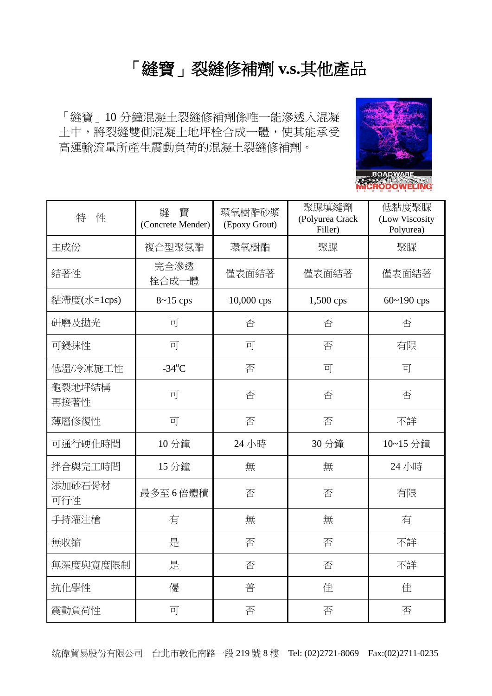## 「縫寶」裂縫修補劑 **v.s.**其他產品

「縫寶」10 分鐘混凝土裂縫修補劑係唯一能滲透入混凝 土中,將裂縫雙側混凝土地坪栓合成一體,使其能承受 高運輸流量所產生震動負荷的混凝土裂縫修補劑。



| 特<br>性         | 寶<br>縫<br>(Concrete Mender) | 環氧樹酯砂漿<br>(Epoxy Grout) | 聚脲填縫劑<br>(Polyurea Crack<br>Filler) | 低黏度聚脲<br>(Low Viscosity<br>Polyurea) |
|----------------|-----------------------------|-------------------------|-------------------------------------|--------------------------------------|
| 主成份            | 複合型聚氨酯                      | 環氧樹酯                    | 聚脲                                  | 聚脲                                   |
| 結著性            | 完全滲透<br>體<br>栓合成-           | 僅表面結著                   | 僅表面結著                               | 僅表面結著                                |
| 黏滯度(水=1cps)    | $8 - 15$ cps                | 10,000 cps<br>1,500 cps |                                     | $60 - 190$ cps                       |
| 研磨及拋光          | 可                           | 否                       | 否                                   | 否                                    |
| 可鏝抹性           | 可                           | 可                       | 否                                   | 有限                                   |
| 低溫/冷凍施工性       | $-34^{\circ}$ C             | 否                       | 可                                   | 可                                    |
| 龜裂地坪結構<br>再接著性 | 可                           | 否                       | 否                                   | 否                                    |
| 薄層修復性          | 可                           | 否                       | 否                                   | 不詳                                   |
| 可通行硬化時間        | 10 分鐘                       | 24 小時                   | 30 分鐘                               | 10~15 分鐘                             |
| 拌合與完工時間        | 15 分鐘                       | 無                       | 無                                   | 24 小時                                |
| 添加砂石骨材<br>可行性  | 最多至6倍體積                     | 否                       | 否                                   | 有限                                   |
| 手持灌注槍          | 有                           | 無                       | 無                                   | 有                                    |
| 無收縮            | 是                           | 否                       | 否                                   | 不詳                                   |
| 無深度與寬度限制       | 是                           | 否                       | 否                                   | 不詳                                   |
| 抗化學性           | 優                           | 普                       | 佳                                   | 佳                                    |
| 震動負荷性          | 可                           | 否                       | 否                                   | 否                                    |

統偉貿易股份有限公司 台北市敦化南路一段 219 號 8 樓 Tel: (02)2721-8069 Fax:(02)2711-0235